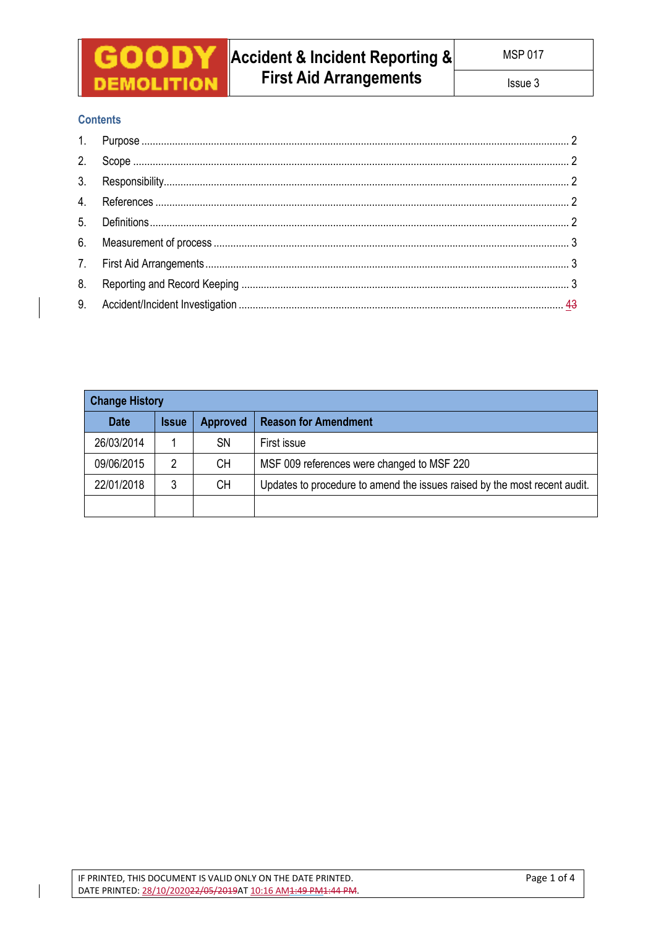

# **Contents**

| <b>Change History</b> |              |                 |                                                                           |  |  |  |  |
|-----------------------|--------------|-----------------|---------------------------------------------------------------------------|--|--|--|--|
| <b>Date</b>           | <b>Issue</b> | <b>Approved</b> | <b>Reason for Amendment</b>                                               |  |  |  |  |
| 26/03/2014            |              | SΝ              | First issue                                                               |  |  |  |  |
| 09/06/2015            |              | CН              | MSF 009 references were changed to MSF 220                                |  |  |  |  |
| 22/01/2018            |              | <b>CH</b>       | Updates to procedure to amend the issues raised by the most recent audit. |  |  |  |  |
|                       |              |                 |                                                                           |  |  |  |  |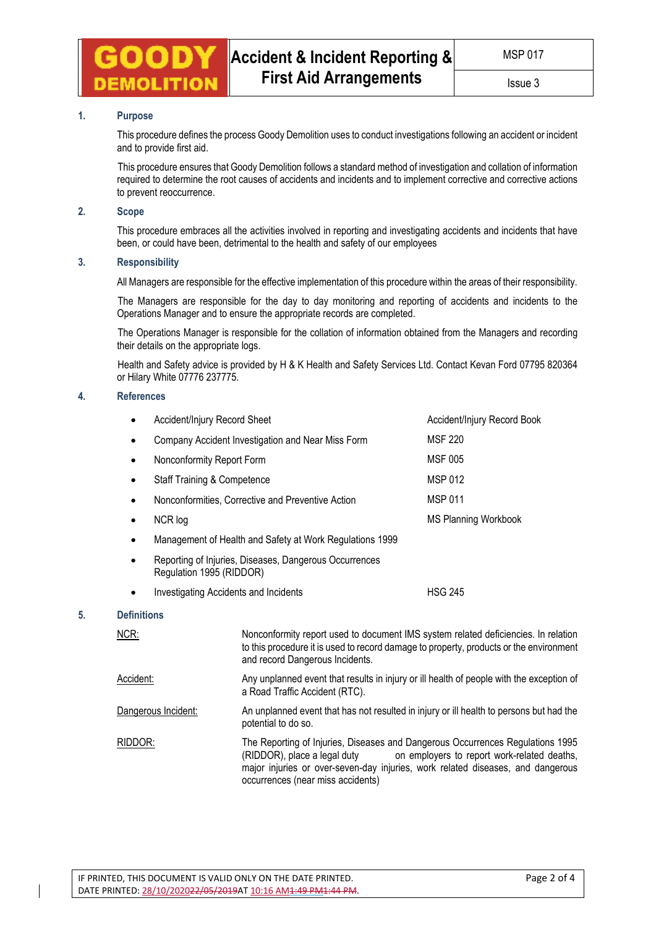## **1. Purpose**

This procedure defines the process Goody Demolition uses to conduct investigations following an accident or incident and to provide first aid.

 This procedure ensures that Goody Demolition follows a standard method of investigation and collation of information required to determine the root causes of accidents and incidents and to implement corrective and corrective actions to prevent reoccurrence.

# **2. Scope**

This procedure embraces all the activities involved in reporting and investigating accidents and incidents that have been, or could have been, detrimental to the health and safety of our employees

#### **3. Responsibility**

All Managers are responsible for the effective implementation of this procedure within the areas of their responsibility.

 The Managers are responsible for the day to day monitoring and reporting of accidents and incidents to the Operations Manager and to ensure the appropriate records are completed.

 The Operations Manager is responsible for the collation of information obtained from the Managers and recording their details on the appropriate logs.

 Health and Safety advice is provided by H & K Health and Safety Services Ltd. Contact Kevan Ford 07795 820364 or Hilary White 07776 237775.

### **4. References**

|    |                    | Accident/Injury Record Sheet                 | Accident/Injury Record Book                                                                                                                                                                                     |                                                    |  |  |  |  |
|----|--------------------|----------------------------------------------|-----------------------------------------------------------------------------------------------------------------------------------------------------------------------------------------------------------------|----------------------------------------------------|--|--|--|--|
|    | ٠                  |                                              | Company Accident Investigation and Near Miss Form                                                                                                                                                               | <b>MSF 220</b>                                     |  |  |  |  |
|    | $\bullet$          | Nonconformity Report Form                    | Nonconformities, Corrective and Preventive Action                                                                                                                                                               | <b>MSF 005</b><br><b>MSP 012</b><br><b>MSP 011</b> |  |  |  |  |
|    | ٠                  | <b>Staff Training &amp; Competence</b>       |                                                                                                                                                                                                                 |                                                    |  |  |  |  |
|    | ٠                  |                                              |                                                                                                                                                                                                                 |                                                    |  |  |  |  |
|    | $\bullet$          | NCR log                                      |                                                                                                                                                                                                                 | <b>MS Planning Workbook</b>                        |  |  |  |  |
|    | ٠                  |                                              | Management of Health and Safety at Work Regulations 1999                                                                                                                                                        |                                                    |  |  |  |  |
|    | ٠                  | Regulation 1995 (RIDDOR)                     | Reporting of Injuries, Diseases, Dangerous Occurrences                                                                                                                                                          |                                                    |  |  |  |  |
|    | ٠                  | <b>Investigating Accidents and Incidents</b> |                                                                                                                                                                                                                 | <b>HSG 245</b>                                     |  |  |  |  |
| 5. | <b>Definitions</b> |                                              |                                                                                                                                                                                                                 |                                                    |  |  |  |  |
|    | NCR:               |                                              | Nonconformity report used to document IMS system related deficiencies. In relation<br>to this procedure it is used to record damage to property, products or the environment<br>and record Dangerous Incidents. |                                                    |  |  |  |  |
|    | Accident:          |                                              | Any unplanned event that results in injury or ill health of people with the exception of<br>a Road Traffic Accident (RTC).                                                                                      |                                                    |  |  |  |  |
|    |                    | Dangerous Incident:                          | An unplanned event that has not resulted in injury or ill health to persons but had the<br>potential to do so.                                                                                                  |                                                    |  |  |  |  |

RIDDOR: The Reporting of Injuries, Diseases and Dangerous Occurrences Regulations 1995<br>(RIDDOR), place a legal duty on employers to report work-related deaths, on employers to report work-related deaths, major injuries or over-seven-day injuries, work related diseases, and dangerous occurrences (near miss accidents)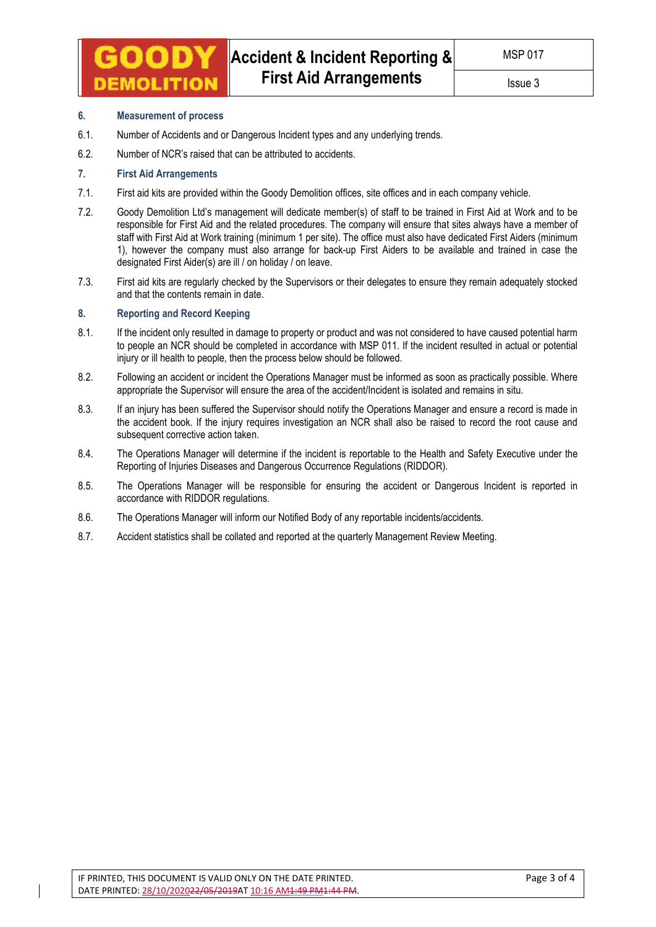### Issue 3

### **6. Measurement of process**

MOLITIOI

- 6.1. Number of Accidents and or Dangerous Incident types and any underlying trends.
- 6.2. Number of NCR's raised that can be attributed to accidents.

## **7. First Aid Arrangements**

- 7.1. First aid kits are provided within the Goody Demolition offices, site offices and in each company vehicle.
- 7.2. Goody Demolition Ltd's management will dedicate member(s) of staff to be trained in First Aid at Work and to be responsible for First Aid and the related procedures. The company will ensure that sites always have a member of staff with First Aid at Work training (minimum 1 per site). The office must also have dedicated First Aiders (minimum 1), however the company must also arrange for back-up First Aiders to be available and trained in case the designated First Aider(s) are ill / on holiday / on leave.
- 7.3. First aid kits are regularly checked by the Supervisors or their delegates to ensure they remain adequately stocked and that the contents remain in date.

#### **8. Reporting and Record Keeping**

- 8.1. If the incident only resulted in damage to property or product and was not considered to have caused potential harm to people an NCR should be completed in accordance with MSP 011. If the incident resulted in actual or potential injury or ill health to people, then the process below should be followed.
- 8.2. Following an accident or incident the Operations Manager must be informed as soon as practically possible. Where appropriate the Supervisor will ensure the area of the accident/Incident is isolated and remains in situ.
- 8.3. If an injury has been suffered the Supervisor should notify the Operations Manager and ensure a record is made in the accident book. If the injury requires investigation an NCR shall also be raised to record the root cause and subsequent corrective action taken.
- 8.4. The Operations Manager will determine if the incident is reportable to the Health and Safety Executive under the Reporting of Injuries Diseases and Dangerous Occurrence Regulations (RIDDOR).
- 8.5. The Operations Manager will be responsible for ensuring the accident or Dangerous Incident is reported in accordance with RIDDOR regulations.
- 8.6. The Operations Manager will inform our Notified Body of any reportable incidents/accidents.
- 8.7. Accident statistics shall be collated and reported at the quarterly Management Review Meeting.